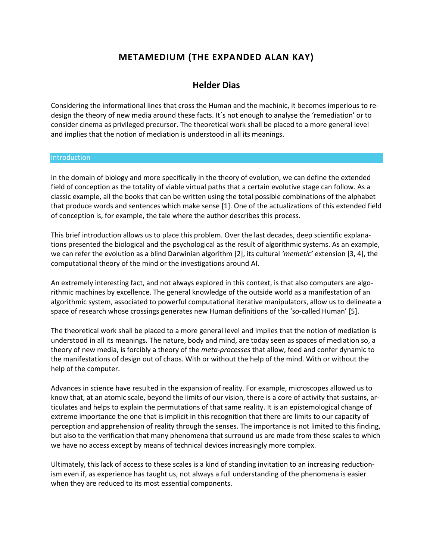# **METAMEDIUM (THE EXPANDED ALAN KAY)**

## **Helder Dias**

Considering the informational lines that cross the Human and the machinic, it becomes imperious to redesign the theory of new media around these facts. It´s not enough to analyse the 'remediation' or to consider cinema as privileged precursor. The theoretical work shall be placed to a more general level and implies that the notion of mediation is understood in all its meanings.

#### Introduction

In the domain of biology and more specifically in the theory of evolution, we can define the extended field of conception as the totality of viable virtual paths that a certain evolutive stage can follow. As a classic example, all the books that can be written using the total possible combinations of the alphabet that produce words and sentences which make sense [1]. One of the actualizations of this extended field of conception is, for example, the tale where the author describes this process.

This brief introduction allows us to place this problem. Over the last decades, deep scientific explanations presented the biological and the psychological as the result of algorithmic systems. As an example, we can refer the evolution as a blind Darwinian algorithm [2], its cultural *'memetic'* extension [3, 4], the computational theory of the mind or the investigations around AI.

An extremely interesting fact, and not always explored in this context, is that also computers are algorithmic machines by excellence. The general knowledge of the outside world as a manifestation of an algorithmic system, associated to powerful computational iterative manipulators, allow us to delineate a space of research whose crossings generates new Human definitions of the 'so-called Human' [5].

The theoretical work shall be placed to a more general level and implies that the notion of mediation is understood in all its meanings. The nature, body and mind, are today seen as spaces of mediation so, a theory of new media, is forcibly a theory of the *meta-processes* that allow, feed and confer dynamic to the manifestations of design out of chaos. With or without the help of the mind. With or without the help of the computer.

Advances in science have resulted in the expansion of reality. For example, microscopes allowed us to know that, at an atomic scale, beyond the limits of our vision, there is a core of activity that sustains, articulates and helps to explain the permutations of that same reality. It is an epistemological change of extreme importance the one that is implicit in this recognition that there are limits to our capacity of perception and apprehension of reality through the senses. The importance is not limited to this finding, but also to the verification that many phenomena that surround us are made from these scales to which we have no access except by means of technical devices increasingly more complex.

Ultimately, this lack of access to these scales is a kind of standing invitation to an increasing reductionism even if, as experience has taught us, not always a full understanding of the phenomena is easier when they are reduced to its most essential components.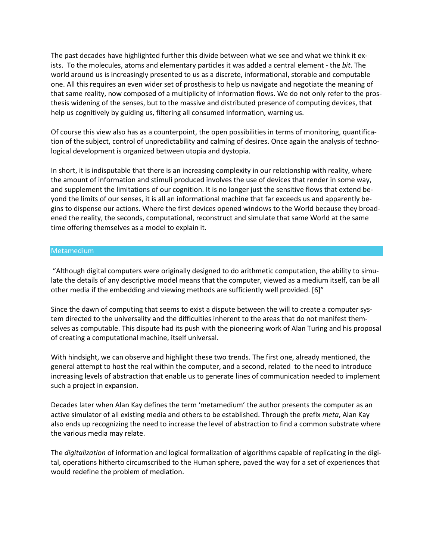The past decades have highlighted further this divide between what we see and what we think it exists. To the molecules, atoms and elementary particles it was added a central element - the *bit*. The world around us is increasingly presented to us as a discrete, informational, storable and computable one. All this requires an even wider set of prosthesis to help us navigate and negotiate the meaning of that same reality, now composed of a multiplicity of information flows. We do not only refer to the prosthesis widening of the senses, but to the massive and distributed presence of computing devices, that help us cognitively by guiding us, filtering all consumed information, warning us.

Of course this view also has as a counterpoint, the open possibilities in terms of monitoring, quantification of the subject, control of unpredictability and calming of desires. Once again the analysis of technological development is organized between utopia and dystopia.

In short, it is indisputable that there is an increasing complexity in our relationship with reality, where the amount of information and stimuli produced involves the use of devices that render in some way, and supplement the limitations of our cognition. It is no longer just the sensitive flows that extend beyond the limits of our senses, it is all an informational machine that far exceeds us and apparently begins to dispense our actions. Where the first devices opened windows to the World because they broadened the reality, the seconds, computational, reconstruct and simulate that same World at the same time offering themselves as a model to explain it.

### Metamedium

"Although digital computers were originally designed to do arithmetic computation, the ability to simulate the details of any descriptive model means that the computer, viewed as a medium itself, can be all other media if the embedding and viewing methods are sufficiently well provided. [6]"

Since the dawn of computing that seems to exist a dispute between the will to create a computer system directed to the universality and the difficulties inherent to the areas that do not manifest themselves as computable. This dispute had its push with the pioneering work of Alan Turing and his proposal of creating a computational machine, itself universal.

With hindsight, we can observe and highlight these two trends. The first one, already mentioned, the general attempt to host the real within the computer, and a second, related to the need to introduce increasing levels of abstraction that enable us to generate lines of communication needed to implement such a project in expansion.

Decades later when Alan Kay defines the term 'metamedium' the author presents the computer as an active simulator of all existing media and others to be established. Through the prefix *meta*, Alan Kay also ends up recognizing the need to increase the level of abstraction to find a common substrate where the various media may relate.

The *digitalization* of information and logical formalization of algorithms capable of replicating in the digital, operations hitherto circumscribed to the Human sphere, paved the way for a set of experiences that would redefine the problem of mediation.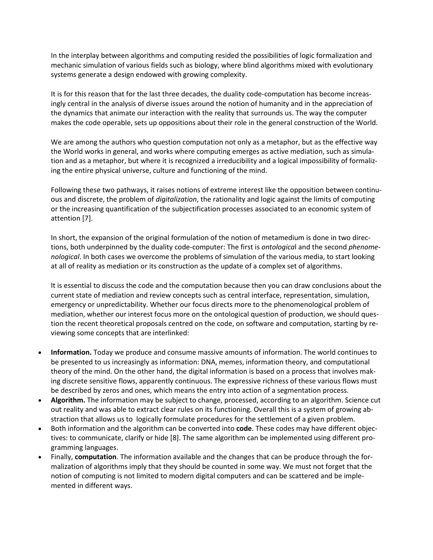In the interplay between algorithms and computing resided the possibilities of logic formalization and mechanic simulation of various fields such as biology, where blind algorithms mixed with evolutionary systems generate a design endowed with growing complexity.

It is for this reason that for the last three decades, the duality code-computation has become increasingly central in the analysis of diverse issues around the notion of humanity and in the appreciation of the dynamics that animate our interaction with the reality that surrounds us. The way the computer makes the code operable, sets up oppositions about their role in the general construction of the World.

We are among the authors who question computation not only as a metaphor, but as the effective way the World works in general, and works where computing emerges as active mediation, such as simulation and as a metaphor, but where it is recognized a irreducibility and a logical impossibility of formalizing the entire physical universe, culture and functioning of the mind.

Following these two pathways, it raises notions of extreme interest like the opposition between continuous and discrete, the problem of *digitalization*, the rationality and logic against the limits of computing or the increasing quantification of the subjectification processes associated to an economic system of attention [7].

In short, the expansion of the original formulation of the notion of metamedium is done in two directions, both underpinned by the duality code-computer: The first is *ontologica*l and the second *phenomenological*. In both cases we overcome the problems of simulation of the various media, to start looking at all of reality as mediation or its construction as the update of a complex set of algorithms.

It is essential to discuss the code and the computation because then you can draw conclusions about the current state of mediation and review concepts such as central interface, representation, simulation, emergency or unpredictability. Whether our focus directs more to the phenomenological problem of mediation, whether our interest focus more on the ontological question of production, we should question the recent theoretical proposals centred on the code, on software and computation, starting by reviewing some concepts that are interlinked:

- **Information.** Today we produce and consume massive amounts of information. The world continues to be presented to us increasingly as information: DNA, memes, information theory, and computational theory of the mind. On the other hand, the digital information is based on a process that involves making discrete sensitive flows, apparently continuous. The expressive richness of these various flows must be described by zeros and ones, which means the entry into action of a segmentation process.
- **Algorithm.** The information may be subject to change, processed, according to an algorithm. Science cut out reality and was able to extract clear rules on its functioning. Overall this is a system of growing abstraction that allows us to logically formulate procedures for the settlement of a given problem.
- Both information and the algorithm can be converted into **code**. These codes may have different objectives: to communicate, clarify or hide [8]. The same algorithm can be implemented using different programming languages.
- Finally, **computation**. The information available and the changes that can be produce through the formalization of algorithms imply that they should be counted in some way. We must not forget that the notion of computing is not limited to modern digital computers and can be scattered and be implemented in different ways.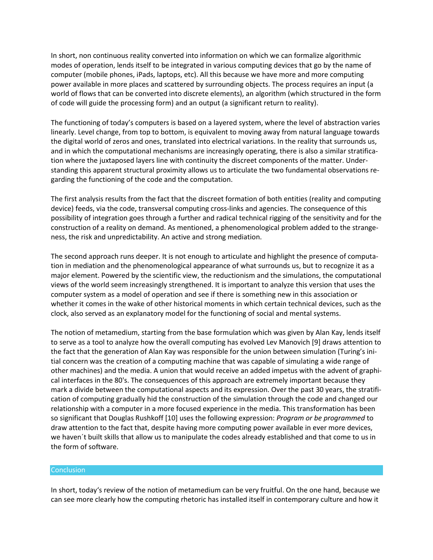In short, non continuous reality converted into information on which we can formalize algorithmic modes of operation, lends itself to be integrated in various computing devices that go by the name of computer (mobile phones, iPads, laptops, etc). All this because we have more and more computing power available in more places and scattered by surrounding objects. The process requires an input (a world of flows that can be converted into discrete elements), an algorithm (which structured in the form of code will guide the processing form) and an output (a significant return to reality).

The functioning of today's computers is based on a layered system, where the level of abstraction varies linearly. Level change, from top to bottom, is equivalent to moving away from natural language towards the digital world of zeros and ones, translated into electrical variations. In the reality that surrounds us, and in which the computational mechanisms are increasingly operating, there is also a similar stratification where the juxtaposed layers line with continuity the discreet components of the matter. Understanding this apparent structural proximity allows us to articulate the two fundamental observations regarding the functioning of the code and the computation.

The first analysis results from the fact that the discreet formation of both entities (reality and computing device) feeds, via the code, transversal computing cross-links and agencies. The consequence of this possibility of integration goes through a further and radical technical rigging of the sensitivity and for the construction of a reality on demand. As mentioned, a phenomenological problem added to the strangeness, the risk and unpredictability. An active and strong mediation.

The second approach runs deeper. It is not enough to articulate and highlight the presence of computation in mediation and the phenomenological appearance of what surrounds us, but to recognize it as a major element. Powered by the scientific view, the reductionism and the simulations, the computational views of the world seem increasingly strengthened. It is important to analyze this version that uses the computer system as a model of operation and see if there is something new in this association or whether it comes in the wake of other historical moments in which certain technical devices, such as the clock, also served as an explanatory model for the functioning of social and mental systems.

The notion of metamedium, starting from the base formulation which was given by Alan Kay, lends itself to serve as a tool to analyze how the overall computing has evolved Lev Manovich [9] draws attention to the fact that the generation of Alan Kay was responsible for the union between simulation (Turing's initial concern was the creation of a computing machine that was capable of simulating a wide range of other machines) and the media. A union that would receive an added impetus with the advent of graphical interfaces in the 80's. The consequences of this approach are extremely important because they mark a divide between the computational aspects and its expression. Over the past 30 years, the stratification of computing gradually hid the construction of the simulation through the code and changed our relationship with a computer in a more focused experience in the media. This transformation has been so significant that Douglas Rushkoff [10] uses the following expression: *Program or be programmed* to draw attention to the fact that, despite having more computing power available in ever more devices, we haven´t built skills that allow us to manipulate the codes already established and that come to us in the form of software.

#### Conclusion

In short, today's review of the notion of metamedium can be very fruitful. On the one hand, because we can see more clearly how the computing rhetoric has installed itself in contemporary culture and how it